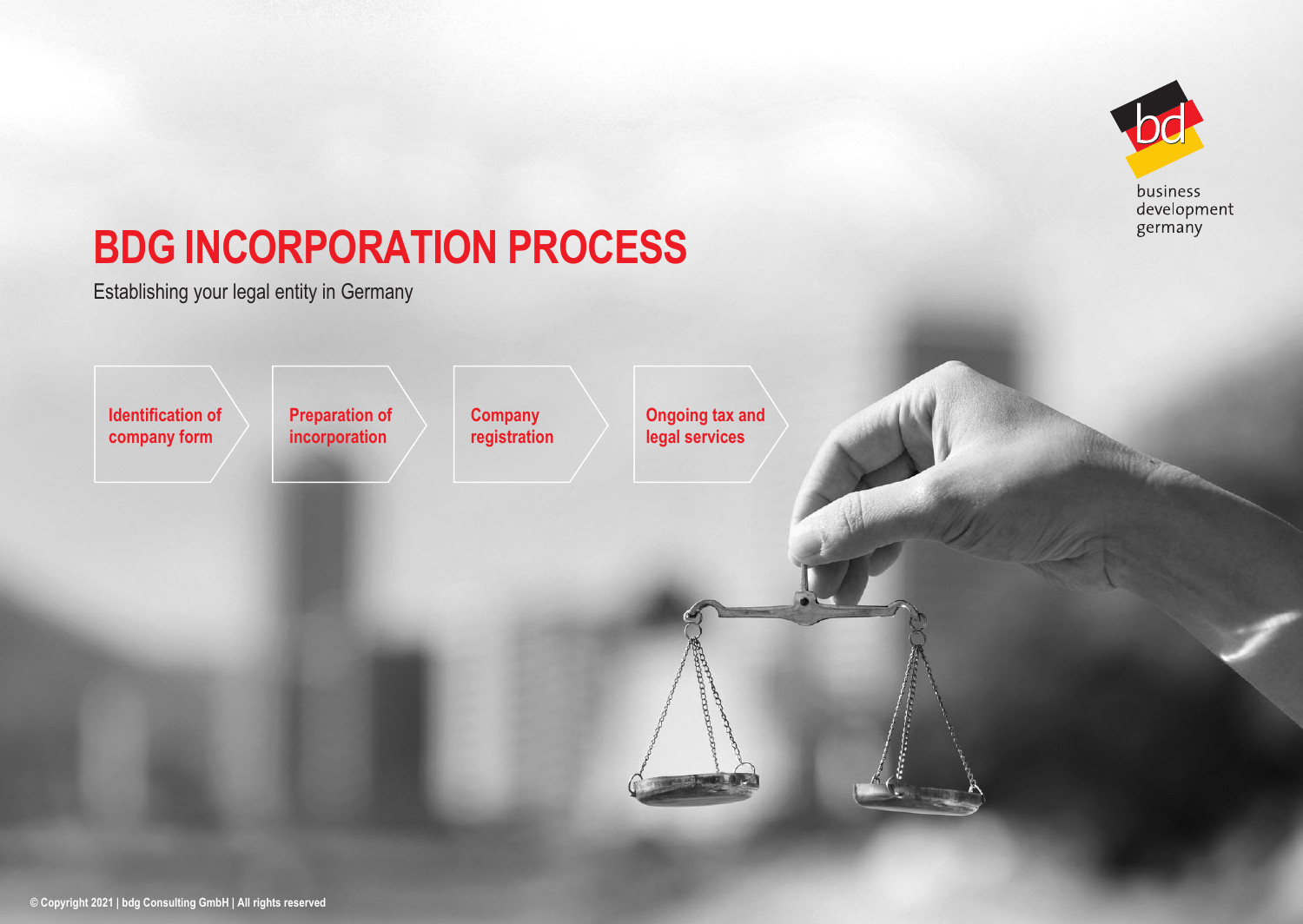

#### development germany

## **BDG INCORPORATION PROCESS**

Establishing your legal entity in Germany

**Identification of company form**

**Preparation of incorporation**

**Company registration** **Ongoing tax and legal services**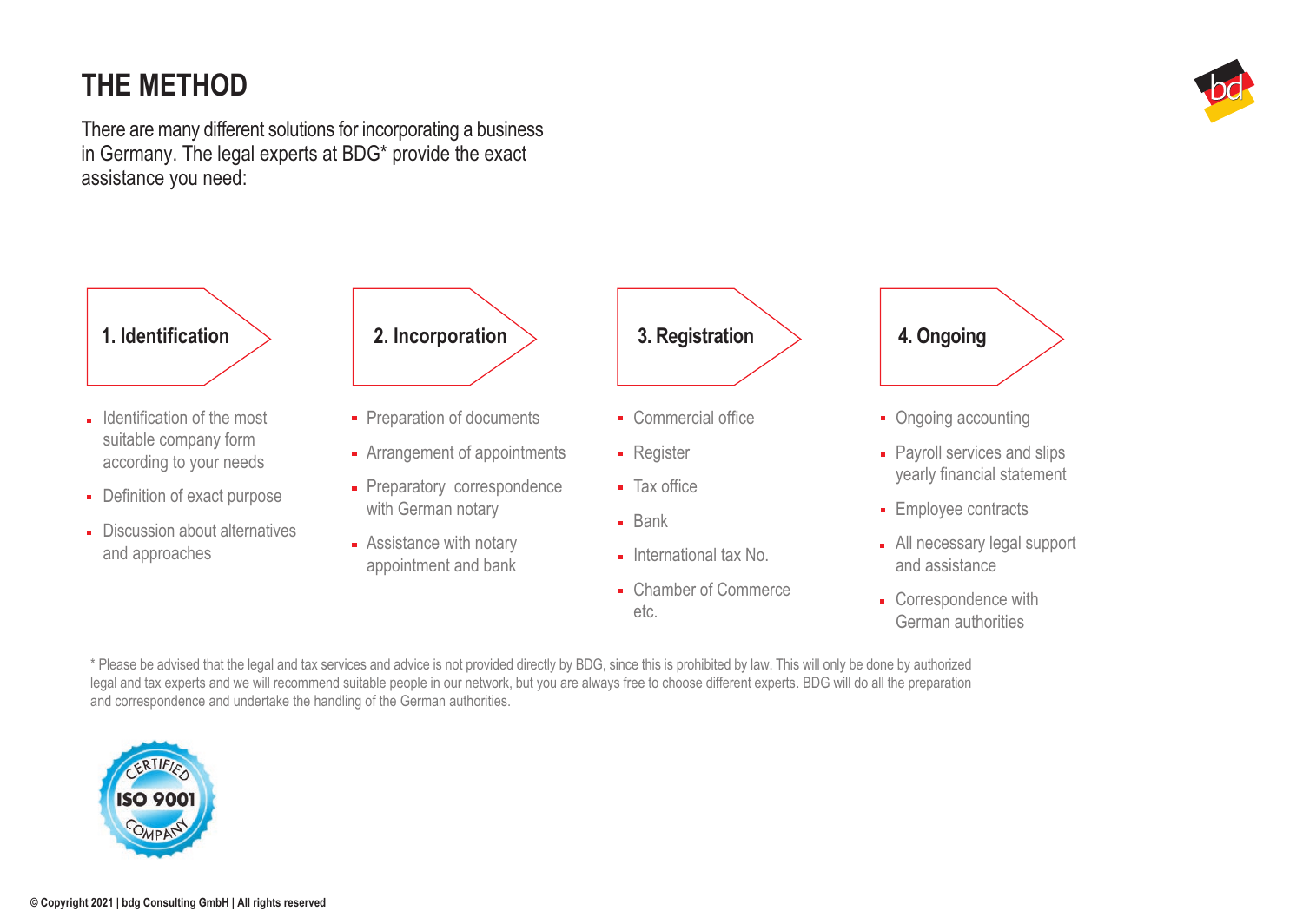## **THE METHOD**

There are many different solutions for incorporating a business in Germany. The legal experts at BDG\* provide the exact assistance you need:



- Definition of exact purpose
- Discussion about alternatives and approaches
- with German notary
- **Assistance with notary** appointment and bank



- Commercial office
- **Register**
- Tax office
- **Bank**
- $\blacksquare$  International tax No.
- Chamber of Commerce etc.

# **4. Ongoing**

- Ongoing accounting
- **Payroll services and slips** yearly financial statement
- **Employee contracts**
- All necessary legal support and assistance
- Correspondence with German authorities

\* Please be advised that the legal and tax services and advice is not provided directly by BDG, since this is prohibited by law. This will only be done by authorized legal and tax experts and we will recommend suitable people in our network, but you are always free to choose different experts. BDG will do all the preparation and correspondence and undertake the handling of the German authorities.



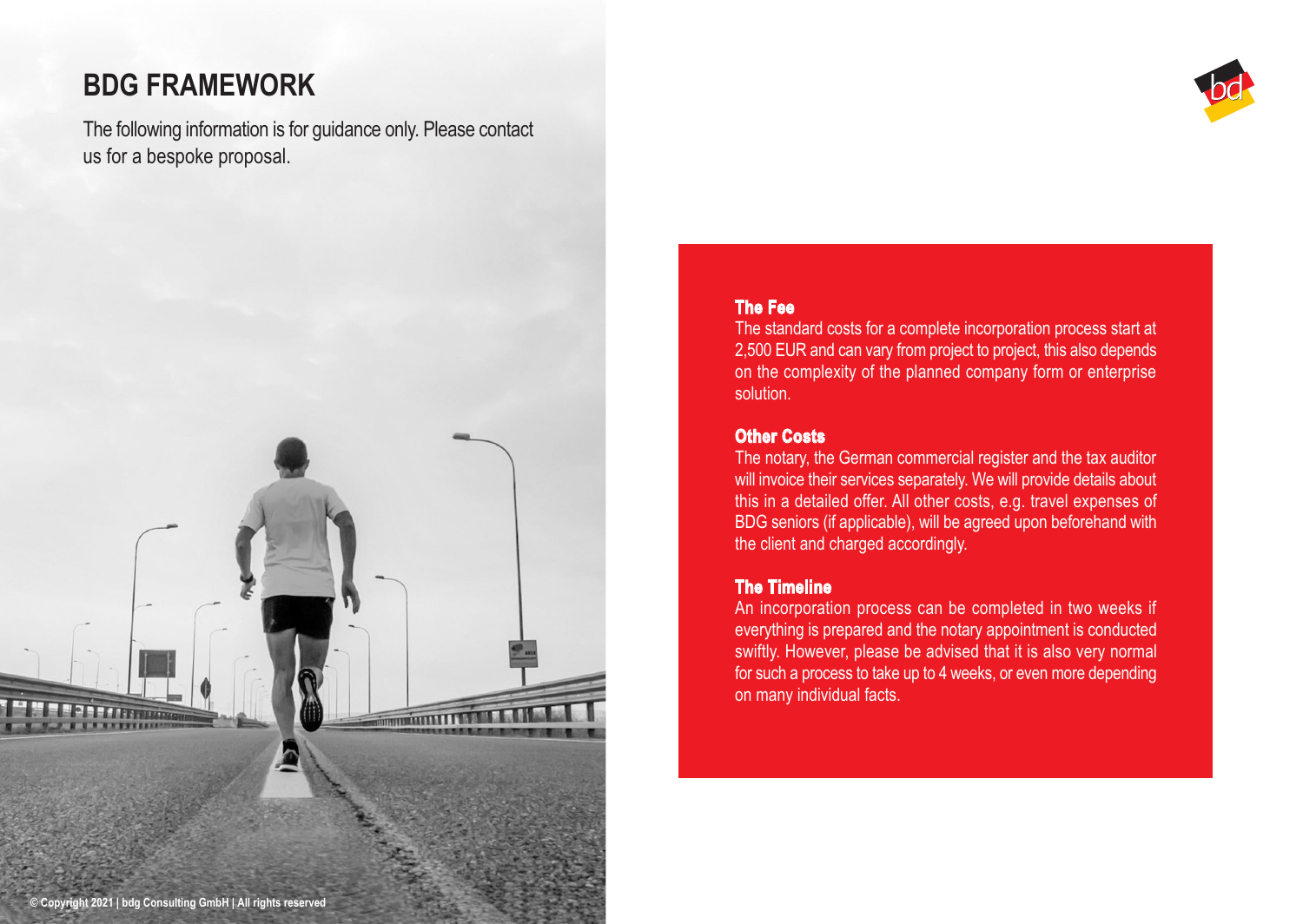## **BDG FRAMEWORK**

The following information is for guidance only. Please contact us for a bespoke proposal.

**THE REAL PROPERTY** 



#### **The Fee**

The standard costs for a complete incorporation process start at 2,500 EUR and can vary from project to project, this also depends on the complexity of the planned company form or enterprise solution.

#### **Other Costs**

The notary, the German commercial register and the tax auditor will invoice their services separately. We will provide details about this in a detailed offer. All other costs, e.g. travel expenses of BDG seniors (if applicable), will be agreed upon beforehand with the client and charged accordingly.

#### **The Timeline**

An incorporation process can be completed in two weeks if everything is prepared and the notary appointment is conducted swiftly. However, please be advised that it is also very normal for such a process to take up to 4 weeks, or even more depending on many individual facts.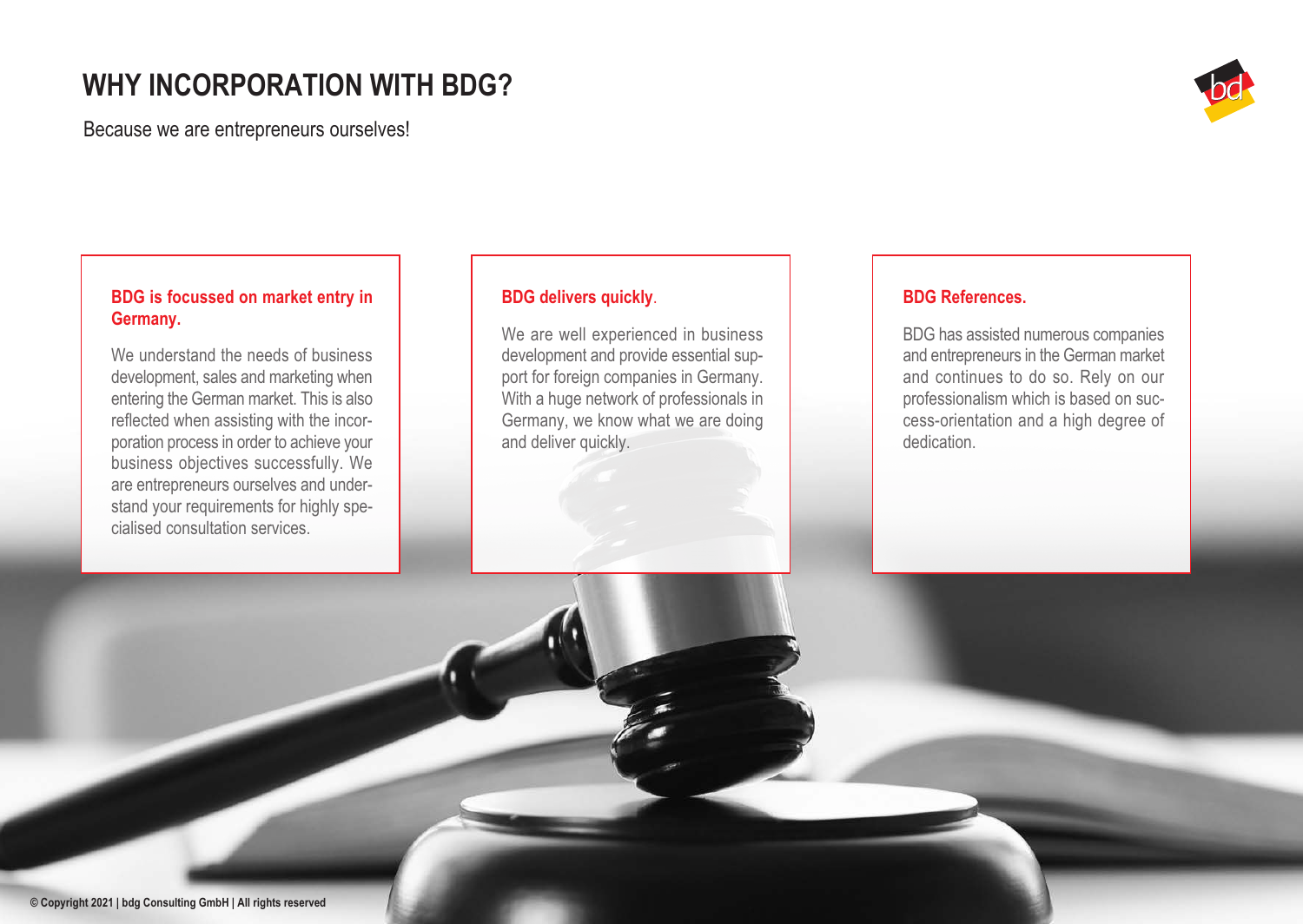### **WHY INCORPORATION WITH BDG?**

Because we are entrepreneurs ourselves!



#### **BDG is focussed on market entry in Germany.**

We understand the needs of business development, sales and marketing when entering the German market. This is also reflected when assisting with the incorporation process in order to achieve your business objectives successfully. We are entrepreneurs ourselves and understand your requirements for highly specialised consultation services.

#### **BDG delivers quickly**.

We are well experienced in business development and provide essential support for foreign companies in Germany. With a huge network of professionals in Germany, we know what we are doing and deliver quickly.

#### **BDG References.**

BDG has assisted numerous companies and entrepreneurs in the German market and continues to do so. Rely on our professionalism which is based on success-orientation and a high degree of dedication.

**© Copyright 2021 | bdg Consulting GmbH | All rights reserved**